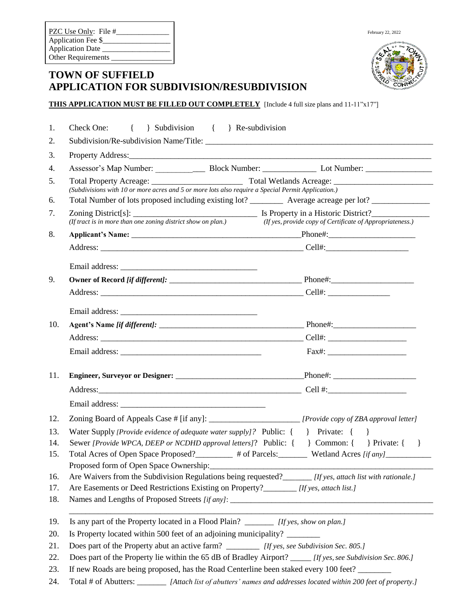| PZC Use Only: File #      | February 22, 2022 |
|---------------------------|-------------------|
| Application Fee \$        |                   |
| <b>Application Date</b>   | ັດ FT             |
| <b>Other Requirements</b> |                   |



## **TOWN OF SUFFIELD APPLICATION FOR SUBDIVISION/RESUBDIVISION**

#### **THIS APPLICATION MUST BE FILLED OUT COMPLETELY** [Include 4 full size plans and 11-11"x17"]

| 1.  | Check One: { } Subdivision { } Re-subdivision                                                                             |  |  |  |
|-----|---------------------------------------------------------------------------------------------------------------------------|--|--|--|
| 2.  |                                                                                                                           |  |  |  |
| 3.  |                                                                                                                           |  |  |  |
| 4.  |                                                                                                                           |  |  |  |
| 5.  |                                                                                                                           |  |  |  |
|     |                                                                                                                           |  |  |  |
| 6.  | Total Number of lots proposed including existing lot? ___________ Average acreage per lot? _______________                |  |  |  |
| 7.  | (If tract is in more than one zoning district show on plan.)<br>(If yes, provide copy of Certificate of Appropriateness.) |  |  |  |
| 8.  |                                                                                                                           |  |  |  |
|     |                                                                                                                           |  |  |  |
|     |                                                                                                                           |  |  |  |
| 9.  |                                                                                                                           |  |  |  |
|     |                                                                                                                           |  |  |  |
|     |                                                                                                                           |  |  |  |
|     |                                                                                                                           |  |  |  |
| 10. |                                                                                                                           |  |  |  |
|     |                                                                                                                           |  |  |  |
|     |                                                                                                                           |  |  |  |
| 11. |                                                                                                                           |  |  |  |
|     |                                                                                                                           |  |  |  |
|     |                                                                                                                           |  |  |  |
| 12. |                                                                                                                           |  |  |  |
| 13. | Water Supply [Provide evidence of adequate water supply]? Public: { } Private: { }                                        |  |  |  |
| 14. | Sewer [Provide WPCA, DEEP or NCDHD approval letters]? Public: { } Common: { } Private: { }                                |  |  |  |
| 15. | Total Acres of Open Space Proposed?<br>$\qquad$ # of Parcels: Wetland Acres [if any]                                      |  |  |  |
|     | Proposed form of Open Space Ownership:                                                                                    |  |  |  |
| 16. | Are Waivers from the Subdivision Regulations being requested?<br>[If yes, attach list with rationale.]                    |  |  |  |
| 17. | Are Easements or Deed Restrictions Existing on Property?________ [If yes, attach list.]                                   |  |  |  |
| 18. |                                                                                                                           |  |  |  |
| 19. | Is any part of the Property located in a Flood Plain? _________ [If yes, show on plan.]                                   |  |  |  |
| 20. | Is Property located within 500 feet of an adjoining municipality?                                                         |  |  |  |
| 21. | Does part of the Property abut an active farm? __________ [If yes, see Subdivision Sec. 805.]                             |  |  |  |
| 22. | Does part of the Property lie within the 65 dB of Bradley Airport? _____ [If yes, see Subdivision Sec. 806.]              |  |  |  |
| 23. | If new Roads are being proposed, has the Road Centerline been staked every 100 feet?                                      |  |  |  |
| 24. | Total # of Abutters: ________ [Attach list of abutters' names and addresses located within 200 feet of property.]         |  |  |  |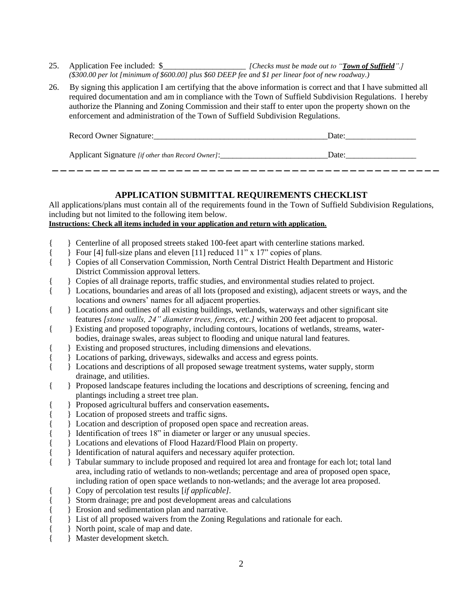- 25. Application Fee included: \$\_\_\_\_\_\_\_\_\_\_\_\_\_\_\_\_\_\_\_\_ *[Checks must be made out to "Town of Suffield".] (\$300.00 per lot [minimum of \$600.00] plus \$60 DEEP fee and \$1 per linear foot of new roadway.)*
- 26. By signing this application I am certifying that the above information is correct and that I have submitted all required documentation and am in compliance with the Town of Suffield Subdivision Regulations. I hereby authorize the Planning and Zoning Commission and their staff to enter upon the property shown on the enforcement and administration of the Town of Suffield Subdivision Regulations.

| Record Owner Signature:                           | Date: |
|---------------------------------------------------|-------|
| Applicant Signature [if other than Record Owner]: | Date: |

### **APPLICATION SUBMITTAL REQUIREMENTS CHECKLIST**

All applications/plans must contain all of the requirements found in the Town of Suffield Subdivision Regulations, including but not limited to the following item below.

**Instructions: Check all items included in your application and return with application.**

- { } Centerline of all proposed streets staked 100-feet apart with centerline stations marked.
- { } Four [4] full-size plans and eleven [11] reduced 11" x 17" copies of plans.
- { } Copies of all Conservation Commission, North Central District Health Department and Historic District Commission approval letters.
- { } Copies of all drainage reports, traffic studies, and environmental studies related to project.
- { } Locations, boundaries and areas of all lots (proposed and existing), adjacent streets or ways, and the locations and owners' names for all adjacent properties.
- { } Locations and outlines of all existing buildings, wetlands, waterways and other significant site features *[stone walls, 24" diameter trees, fences, etc.]* within 200 feet adjacent to proposal.
- { } Existing and proposed topography, including contours, locations of wetlands, streams, waterbodies, drainage swales, areas subject to flooding and unique natural land features.
- { } Existing and proposed structures, including dimensions and elevations.
- { Locations of parking, driveways, sidewalks and access and egress points.
- { } Locations and descriptions of all proposed sewage treatment systems, water supply, storm drainage, and utilities.
- { } Proposed landscape features including the locations and descriptions of screening, fencing and plantings including a street tree plan.
- { } Proposed agricultural buffers and conservation easements**.**
- { Location of proposed streets and traffic signs.
- { Location and description of proposed open space and recreation areas.
- } Identification of trees 18" in diameter or larger or any unusual species.
- { } Locations and elevations of Flood Hazard/Flood Plain on property.
- { learnification of natural aquifers and necessary aquifer protection.
- { } Tabular summary to include proposed and required lot area and frontage for each lot; total land area, including ratio of wetlands to non-wetlands; percentage and area of proposed open space, including ration of open space wetlands to non-wetlands; and the average lot area proposed.
- { } Copy of percolation test results [*if applicable].*
- { } Storm drainage; pre and post development areas and calculations
- { } Erosion and sedimentation plan and narrative.
- { } List of all proposed waivers from the Zoning Regulations and rationale for each.
- { } North point, scale of map and date.
- { } Master development sketch.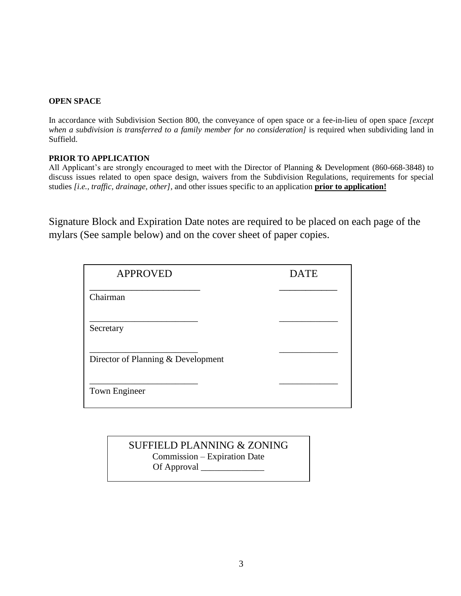#### **OPEN SPACE**

In accordance with Subdivision Section 800, the conveyance of open space or a fee-in-lieu of open space *[except when a subdivision is transferred to a family member for no consideration]* is required when subdividing land in Suffield.

#### **PRIOR TO APPLICATION**

All Applicant's are strongly encouraged to meet with the Director of Planning & Development (860-668-3848) to discuss issues related to open space design, waivers from the Subdivision Regulations, requirements for special studies *[i.e., traffic, drainage, other],* and other issues specific to an application **prior to application!**

Signature Block and Expiration Date notes are required to be placed on each page of the mylars (See sample below) and on the cover sheet of paper copies.

| <b>APPROVED</b>                    | <b>DATE</b> |
|------------------------------------|-------------|
| Chairman                           |             |
| Secretary                          |             |
| Director of Planning & Development |             |
| Town Engineer                      |             |

## SUFFIELD PLANNING & ZONING Commission – Expiration Date Of Approval \_\_\_\_\_\_\_\_\_\_\_\_\_\_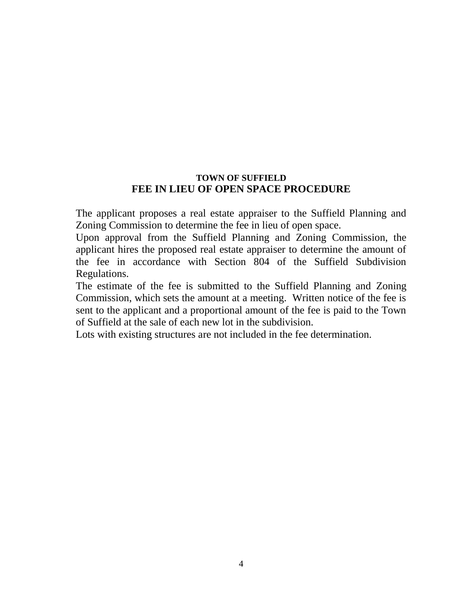## **TOWN OF SUFFIELD FEE IN LIEU OF OPEN SPACE PROCEDURE**

The applicant proposes a real estate appraiser to the Suffield Planning and Zoning Commission to determine the fee in lieu of open space.

Upon approval from the Suffield Planning and Zoning Commission, the applicant hires the proposed real estate appraiser to determine the amount of the fee in accordance with Section 804 of the Suffield Subdivision Regulations.

The estimate of the fee is submitted to the Suffield Planning and Zoning Commission, which sets the amount at a meeting. Written notice of the fee is sent to the applicant and a proportional amount of the fee is paid to the Town of Suffield at the sale of each new lot in the subdivision.

Lots with existing structures are not included in the fee determination.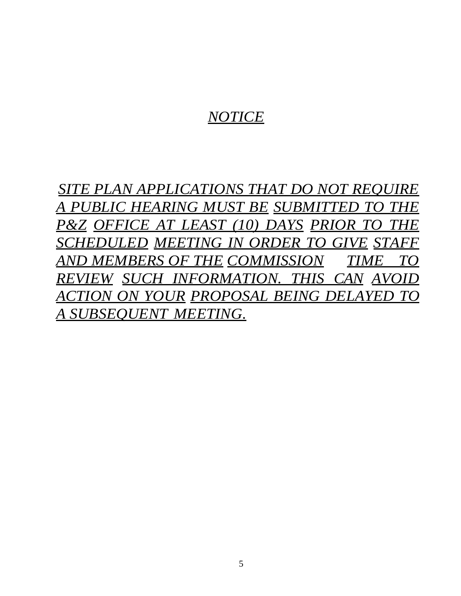# *NOTICE*

*SITE PLAN APPLICATIONS THAT DO NOT REQUIRE A PUBLIC HEARING MUST BE SUBMITTED TO THE P&Z OFFICE AT LEAST (10) DAYS PRIOR TO THE SCHEDULED MEETING IN ORDER TO GIVE STAFF AND MEMBERS OF THE COMMISSION TIME TO REVIEW SUCH INFORMATION. THIS CAN AVOID ACTION ON YOUR PROPOSAL BEING DELAYED TO A SUBSEQUENT MEETING.*